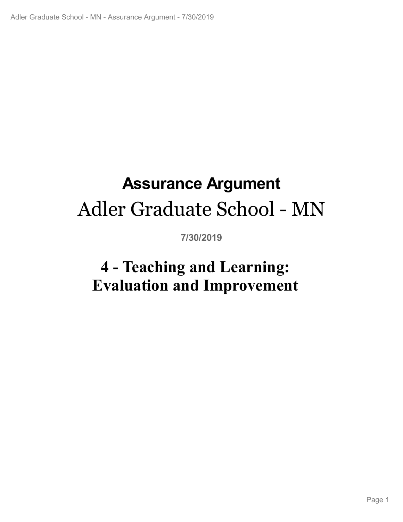# **Assurance Argument** Adler Graduate School - MN

**7/30/2019**

# **4 - Teaching and Learning:<br>|valuation and Improvement<br>|<br>|-Evaluation and Improvement**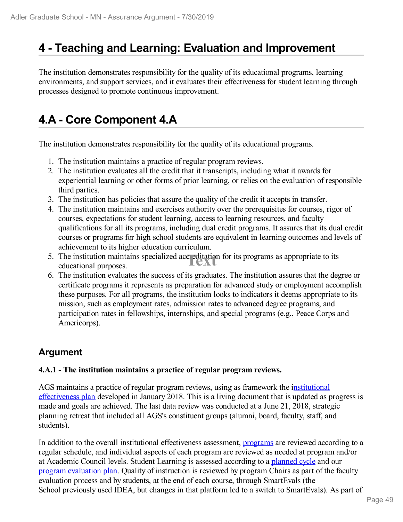# **4 - Teaching and Learning: Evaluation and Improvement**

The institution demonstrates responsibility for the quality of its educational programs, learning environments, and support services, and it evaluates their effectiveness for student learning through processes designed to promote continuous improvement.

# **4.A - Core Component 4.A**

The institution demonstrates responsibility for the quality of its educational programs.

- 1. The institution maintains a practice of regular program reviews.
- 2. The institution evaluates all the credit that it transcripts, including what it awards for experiential learning or other forms of prior learning, or relies on the evaluation of responsible third parties.
- 3. The institution has policies that assure the quality of the credit it accepts in transfer.
- 4. The institution maintains and exercises authority over the prerequisites for courses, rigor of courses, expectations for student learning, access to learning resources, and faculty qualifications for all its programs, including dual credit programs. It assures that its dual credit courses or programs for high school students are equivalent in learning outcomes and levels of achievement to its higher education curriculum.
- 5. The institution maintains specialized accreditation for its programs as appropriate to its educational purposes. educational purposes.
- 6. The institution evaluates the success of its graduates. The institution assures that the degree or certificate programs it represents as preparation for advanced study or employment accomplish these purposes. For all programs, the institution looks to indicators it deems appropriate to its mission, such as employment rates, admission rates to advanced degree programs, and participation rates in fellowships, internships, and special programs (e.g., Peace Corps and Americorps).

### **Argument**

### **4.A.1 - The institution maintains a practice of regular program reviews.**

AGS maintains a practice of regular program reviews, using as framework the institutional effectiveness plan developed in January 2018. This is a living document that is updated as progress is made and goals are achieved. The last data review was conducted at a June 21, 2018, strategic planning retreat that included all AGS's constituent groups (alumni, board, faculty, staff, and students).

In addition to the overall institutional effectiveness assessment, programs are reviewed according to a regular schedule, and individual aspects of each program are reviewed as needed at program and/or at Academic Council levels. Student Learning is assessed according to a planned cycle and our program evaluation plan. Quality of instruction is reviewed by program Chairs as part of the faculty evaluation process and by students, at the end of each course, through SmartEvals (the School previously used IDEA, but changes in that platform led to a switch to SmartEvals). As part of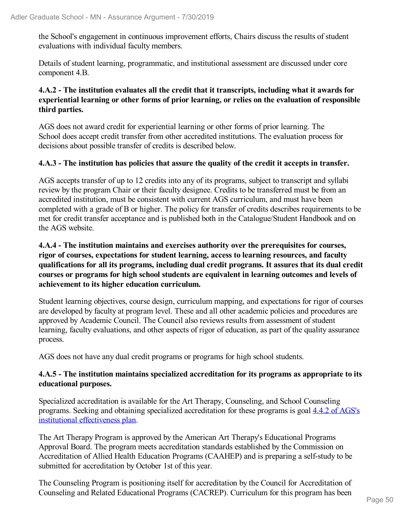the School's engagement in continuous improvement efforts, Chairs discuss the results of student evaluations with individual faculty members.

Details of student learning, programmatic, and institutional assessment are discussed under core component 4.B.

### **4.A.2 - The institution evaluates all the credit that it transcripts, including what it awards for experiential learning or other forms of prior learning, or relies on the evaluation of responsible third parties.**

AGS does not award credit for experiential learning or other forms of prior learning. The School does accept credit transfer from other accredited institutions. The evaluation process for decisions about possible transfer of credits is described below.

### **4.A.3 - The institution has policies that assure the quality of the credit it accepts in transfer.**

AGS accepts transfer of up to 12 credits into any of its programs, subject to transcript and syllabi review by the program Chair or their faculty designee. Credits to be transferred must be from an accredited institution, must be consistent with current AGS curriculum, and must have been completed with a grade of B or higher. The policy for transfer of credits describes requirements to be met for credit transfer acceptance and is published both in the Catalogue/Student Handbook and on the AGS website.

### **4.A.4 - The institution maintains and exercises authority over the prerequisites for courses, rigor of courses, expectations for student learning, access to learning resources, and faculty qualifications for all its programs, including dual credit programs. It assures that its dual credit courses or programs for high school students are equivalent in learning outcomes and levels of achievement to its higher education curriculum.**

Student learning objectives, course design, curriculum mapping, and expectations for rigor of courses are developed by faculty at program level. These and all other academic policies and procedures are approved by Academic Council. The Council also reviews results from assessment of student learning, faculty evaluations, and other aspects of rigor of education, as part of the quality assurance process.

AGS does not have any dual credit programs or programs for high school students.

### **4.A.5 - The institution maintains specialized accreditation for its programs as appropriate to its educational purposes.**

Specialized accreditation is available for the Art Therapy, Counseling, and School Counseling programs. Seeking and obtaining specialized accreditation for these programs is goal 4.4.2 of AGS's institutional effectiveness plan.

The Art Therapy Program is approved by the American Art Therapy's Educational Programs Approval Board. The program meets accreditation standards established by the Commission on Accreditation of Allied Health Education Programs (CAAHEP) and is preparing a self-study to be submitted for accreditation by October 1st of this year.

The Counseling Program is positioning itself for accreditation by the Council for Accreditation of Counseling and Related Educational Programs (CACREP). Curriculum for this program has been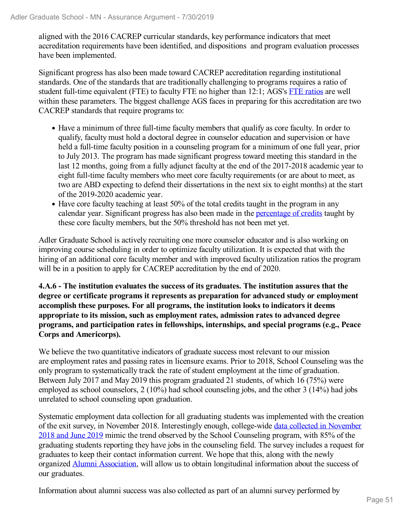aligned with the 2016 CACREP curricular standards, key performance indicators that meet accreditation requirements have been identified, and dispositions and program evaluation processes have been implemented.

Significant progress has also been made toward CACREP accreditation regarding institutional standards. One of the standards that are traditionally challenging to programs requires a ratio of student full-time equivalent (FTE) to faculty FTE no higher than 12:1; AGS's FTE ratios are well within these parameters. The biggest challenge AGS faces in preparing for this accreditation are two CACREP standards that require programs to:

- Have a minimum of three full-time faculty members that qualify as core faculty. In order to qualify, faculty must hold a doctoral degree in counselor education and supervision or have held a full-time faculty position in a counseling program for a minimum of one full year, prior to July 2013. The program has made significant progress toward meeting this standard in the last 12 months, going from a fully adjunct faculty at the end of the 2017-2018 academic year to eight full-time faculty members who meet core faculty requirements (or are about to meet, as two are ABD expecting to defend their dissertations in the next six to eight months) at the start of the 2019-2020 academic year.
- Have core faculty teaching at least 50% of the total credits taught in the program in any calendar year. Significant progress has also been made in the percentage of credits taught by these core faculty members, but the 50% threshold has not been met yet.

Adler Graduate School is actively recruiting one more counselor educator and is also working on improving course scheduling in order to optimize faculty utilization. It is expected that with the hiring of an additional core faculty member and with improved faculty utilization ratios the program will be in a position to apply for CACREP accreditation by the end of 2020.

**4.A.6 - The institution evaluates the success of its graduates. The institution assures that the degree or certificate programs it represents as preparation for advanced study or employment accomplish these purposes. For all programs, the institution looks to indicators it deems appropriate to its mission, such as employment rates, admission rates to advanced degree programs, and participation rates in fellowships, internships, and special programs (e.g., Peace Corps and Americorps).**

We believe the two quantitative indicators of graduate success most relevant to our mission are employment rates and passing rates in licensure exams. Prior to 2018, School Counseling was the only program to systematically track the rate of student employment at the time of graduation. Between July 2017 and May 2019 this program graduated 21 students, of which 16 (75%) were employed as school counselors, 2 (10%) had school counseling jobs, and the other 3 (14%) had jobs unrelated to school counseling upon graduation.

Systematic employment data collection for all graduating students was implemented with the creation of the exit survey, in November 2018. Interestingly enough, college-wide data collected in November 2018 and June 2019 mimic the trend observed by the School Counseling program, with 85% of the graduating students reporting they have jobs in the counseling field. The survey includes a request for graduates to keep their contact information current. We hope that this, along with the newly organized Alumni Association, will allow us to obtain longitudinal information about the success of our graduates.

Information about alumni success was also collected as part of an alumni survey performed by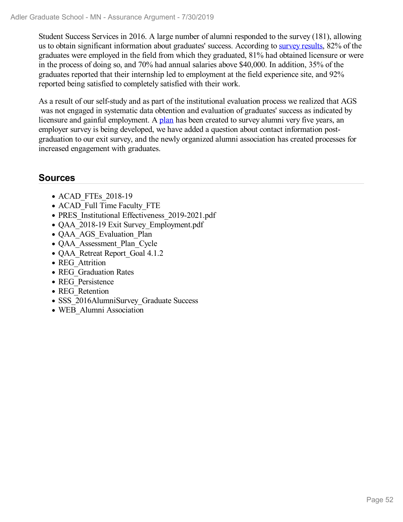Student Success Services in 2016. A large number of alumni responded to the survey (181), allowing us to obtain significant information about graduates' success. According to survey results, 82% of the graduates were employed in the field from which they graduated, 81% had obtained licensure or were in the process of doing so, and 70% had annual salaries above \$40,000. In addition, 35% of the graduates reported that their internship led to employment at the field experience site, and 92% reported being satisfied to completely satisfied with their work.

As a result of our self-study and as part of the institutional evaluation process we realized that AGS was not engaged in systematic data obtention and evaluation of graduates' success as indicated by licensure and gainful employment. A plan has been created to survey alumni very five years, an employer survey is being developed, we have added a question about contact information postgraduation to our exit survey, and the newly organized alumni association has created processes for increased engagement with graduates.

### **Sources**

- ACAD FTEs 2018-19
- ACAD Full Time Faculty FTE
- PRES Institutional Effectiveness 2019-2021.pdf
- QAA\_2018-19 Exit Survey\_Employment.pdf
- QAA AGS Evaluation Plan
- QAA Assessment Plan Cycle
- QAA Retreat Report Goal 4.1.2
- REG Attrition
- REG Graduation Rates
- REG\_Persistence
- REG\_Retention
- SSS 2016AlumniSurvey Graduate Success
- WEB Alumni Association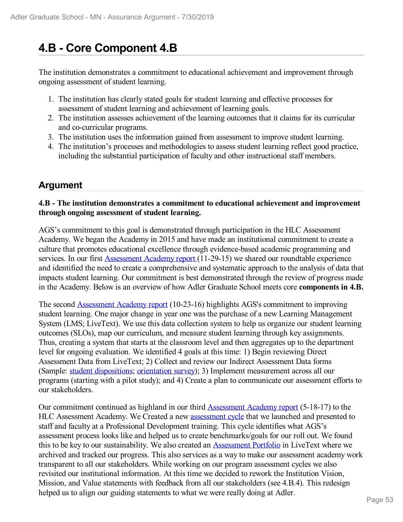# **4.B - Core Component 4.B**

The institution demonstrates a commitment to educational achievement and improvement through ongoing assessment of student learning.

- 1. The institution has clearly stated goals for student learning and effective processes for assessment of student learning and achievement of learning goals.
- 2. The institution assesses achievement of the learning outcomes that it claims for its curricular and co-curricular programs.
- 3. The institution uses the information gained from assessment to improve student learning.
- 4. The institution's processes and methodologies to assess student learning reflect good practice, including the substantial participation of faculty and other instructional staff members.

### **Argument**

### **4.B - The institution demonstrates a commitment to educational achievement and improvement through ongoing assessment of student learning.**

AGS's commitment to this goal is demonstrated through participation in the HLC Assessment Academy. We began the Academy in 2015 and have made an institutional commitment to create a culture that promotes educational excellence through evidence-based academic programming and services. In our first Assessment Academy report (11-29-15) we shared our roundtable experience and identified the need to create a comprehensive and systematic approach to the analysis of data that impacts student learning. Our commitment is best demonstrated through the review of progress made in the Academy. Below is an overview of how Adler Graduate School meets core **components in 4.B.**

The second Assessment Academy report (10-23-16) highlights AGS's commitment to improving student learning. One major change in year one was the purchase of a new Learning Management System (LMS; LiveText). We use this data collection system to help us organize our student learning outcomes (SLOs), map our curriculum, and measure student learning through key assignments. Thus, creating a system that starts at the classroom level and then aggregates up to the department level for ongoing evaluation. We identified 4 goals at this time: 1) Begin reviewing Direct Assessment Data from LiveText; 2) Collect and review our Indirect Assessment Data forms (Sample: student dispositions; orientation survey); 3) Implement measurement across all our programs (starting with a pilot study); and 4) Create a plan to communicate our assessment efforts to our stakeholders.

Our commitment continued as highland in our third Assessment Academy report (5-18-17) to the HLC Assessment Academy. We Created a new **assessment cycle** that we launched and presented to staff and faculty at a Professional Development training. This cycle identifies what AGS's assessment process looks like and helped us to create benchmarks/goals for our roll out. We found this to be key to our sustainability. We also created an Assessment Portfolio in LiveText where we archived and tracked our progress. This also services as a way to make our assessment academy work transparent to all our stakeholders. While working on our program assessment cycles we also revisited our institutional information. At this time we decided to rework the Institution Vision, Mission, and Value statements with feedback from all our stakeholders (see 4.B.4). This redesign helped us to align our guiding statements to what we were really doing at Adler.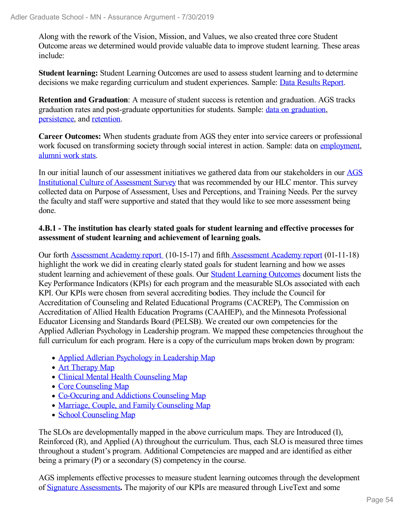Along with the rework of the Vision, Mission, and Values, we also created three core Student Outcome areas we determined would provide valuable data to improve student learning. These areas include:

**Student learning:** Student Learning Outcomes are used to assess student learning and to determine decisions we make regarding curriculum and student experiences. Sample: Data Results Report.

**Retention and Graduation**: A measure of student success is retention and graduation. AGS tracks graduation rates and post-graduate opportunities for students. Sample: data on graduation, persistence, and retention.

**Career Outcomes:** When students graduate from AGS they enter into service careers or professional work focused on transforming society through social interest in action. Sample: data on employment, alumni work stats.

In our initial launch of our assessment initiatives we gathered data from our stakeholders in our AGS Institutional Culture of Assessment Survey that was recommended by our HLC mentor. This survey collected data on Purpose of Assessment, Uses and Perceptions, and Training Needs. Per the survey the faculty and staff were supportive and stated that they would like to see more assessment being done.

### **4.B.1 - The institution has clearly stated goals for student learning and effective processes for assessment of student learning and achievement of learning goals.**

Our forth Assessment Academy report (10-15-17) and fifth Assessment Academy report (01-11-18) highlight the work we did in creating clearly stated goals for student learning and how we asses student learning and achievement of these goals. Our Student Learning Outcomes document lists the Key Performance Indicators (KPIs) for each program and the measurable SLOs associated with each KPI. Our KPIs were chosen from several accrediting bodies. They include the Council for Accreditation of Counseling and Related Educational Programs (CACREP), The Commission on Accreditation of Allied Health Education Programs (CAAHEP), and the Minnesota Professional Educator Licensing and Standards Board (PELSB). We created our own competencies for the Applied Adlerian Psychology in Leadership program. We mapped these competencies throughout the full curriculum for each program. Here is a copy of the curriculum maps broken down by program:

- Applied Adlerian Psychology in Leadership Map
- Art Therapy Map
- Clinical Mental Health Counseling Map
- Core Counseling Map
- Co-Occuring and Addictions Counseling Map
- Marriage, Couple, and Family Counseling Map
- School Counseling Map

The SLOs are developmentally mapped in the above curriculum maps. They are Introduced (I), Reinforced (R), and Applied (A) throughout the curriculum. Thus, each SLO is measured three times throughout a student's program. Additional Competencies are mapped and are identified as either being a primary (P) or a secondary (S) competency in the course.

AGS implements effective processes to measure student learning outcomes through the development of Signature Assessments**.** The majority of our KPIs are measured through LiveText and some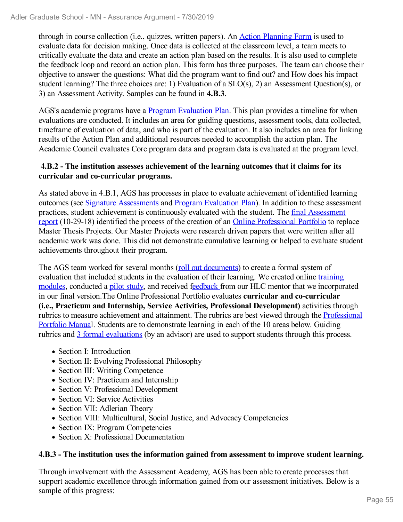through in course collection (i.e., quizzes, written papers). An Action Planning Form is used to evaluate data for decision making. Once data is collected at the classroom level, a team meets to critically evaluate the data and create an action plan based on the results. It is also used to complete the feedback loop and record an action plan. This form has three purposes. The team can choose their objective to answer the questions: What did the program want to find out? and How does his impact student learning? The three choices are: 1) Evaluation of a SLO(s), 2) an Assessment Question(s), or 3) an Assessment Activity. Samples can be found in **4.B.3**.

AGS's academic programs have a Program Evaluation Plan. This plan provides a timeline for when evaluations are conducted. It includes an area for guiding questions, assessment tools, data collected, timeframe of evaluation of data, and who is part of the evaluation. It also includes an area for linking results of the Action Plan and additional resources needed to accomplish the action plan. The Academic Council evaluates Core program data and program data is evaluated at the program level.

### **4.B.2 - The institution assesses achievement of the learning outcomes that it claims for its curricular and co-curricular programs.**

As stated above in 4.B.1, AGS has processes in place to evaluate achievement of identified learning outcomes (see Signature Assessments and Program Evaluation Plan). In addition to these assessment practices, student achievement is continuously evaluated with the student. The final Assessment report (10-29-18) identified the process of the creation of an Online Professional Portfolio to replace Master Thesis Projects. Our Master Projects were research driven papers that were written after all academic work was done. This did not demonstrate cumulative learning or helped to evaluate student achievements throughout their program.

The AGS team worked for several months (roll out documents) to create a formal system of evaluation that included students in the evaluation of their learning. We created online training modules, conducted a pilot study, and received feedback from our HLC mentor that we incorporated in our final version.The Online Professional Portfolio evaluates **curricular and co-curricular (i.e., Practicum and Internship, Service Activities, Professional Development)** activities through rubrics to measure achievement and attainment. The rubrics are best viewed through the Professional Portfolio Manual. Students are to demonstrate learning in each of the 10 areas below. Guiding rubrics and 3 formal evaluations (by an advisor) are used to support students through this process.

- Section I: Introduction
- Section II: Evolving Professional Philosophy
- Section III: Writing Competence
- Section IV: Practicum and Internship
- Section V: Professional Development
- Section VI: Service Activities
- Section VII: Adlerian Theory
- Section VIII: Multicultural, Social Justice, and Advocacy Competencies
- Section IX: Program Competencies
- Section X: Professional Documentation

### **4.B.3 - The institution uses the information gained from assessment to improve student learning.**

Through involvement with the Assessment Academy, AGS has been able to create processes that support academic excellence through information gained from our assessment initiatives. Below is a sample of this progress: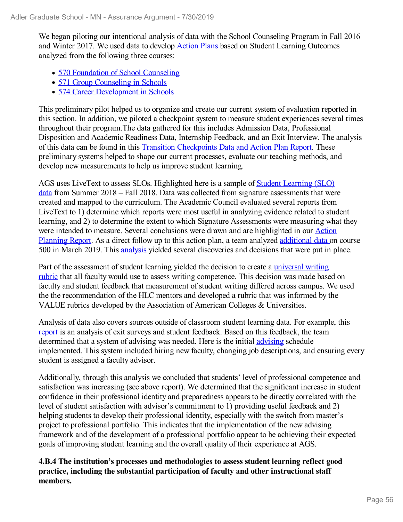We began piloting our intentional analysis of data with the School Counseling Program in Fall 2016 and Winter 2017. We used data to develop **Action Plans** based on Student Learning Outcomes analyzed from the following three courses:

- 570 Foundation of School Counseling
- 571 Group Counseling in Schools
- 574 Career Development in Schools

This preliminary pilot helped us to organize and create our current system of evaluation reported in this section. In addition, we piloted a checkpoint system to measure student experiences several times throughout their program.The data gathered for this includes Admission Data, Professional Disposition and Academic Readiness Data, Internship Feedback, and an Exit Interview. The analysis of this data can be found in this Transition Checkpoints Data and Action Plan Report. These preliminary systems helped to shape our current processes, evaluate our teaching methods, and develop new measurements to help us improve student learning.

AGS uses LiveText to assess SLOs. Highlighted here is a sample of Student Learning (SLO) data from Summer 2018 – Fall 2018. Data was collected from signature assessments that were created and mapped to the curriculum. The Academic Council evaluated several reports from LiveText to 1) determine which reports were most useful in analyzing evidence related to student learning, and 2) to determine the extent to which Signature Assessments were measuring what they were intended to measure. Several conclusions were drawn and are highlighted in our Action Planning Report. As a direct follow up to this action plan, a team analyzed additional data on course 500 in March 2019. This analysis yielded several discoveries and decisions that were put in place.

Part of the assessment of student learning yielded the decision to create a universal writing rubric that all faculty would use to assess writing competence. This decision was made based on faculty and student feedback that measurement of student writing differed across campus. We used the the recommendation of the HLC mentors and developed a rubric that was informed by the VALUE rubrics developed by the Association of American Colleges & Universities.

Analysis of data also covers sources outside of classroom student learning data. For example, this report is an analysis of exit surveys and student feedback. Based on this feedback, the team determined that a system of advising was needed. Here is the initial advising schedule implemented. This system included hiring new faculty, changing job descriptions, and ensuring every student is assigned a faculty advisor.

Additionally, through this analysis we concluded that students' level of professional competence and satisfaction was increasing (see above report). We determined that the significant increase in student confidence in their professional identity and preparedness appears to be directly correlated with the level of student satisfaction with advisor's commitment to 1) providing useful feedback and 2) helping students to develop their professional identity, especially with the switch from master's project to professional portfolio. This indicates that the implementation of the new advising framework and of the development of a professional portfolio appear to be achieving their expected goals of improving student learning and the overall quality of their experience at AGS.

**4.B.4 The institution's processes and methodologies to assess student learning reflect good practice, including the substantial participation of faculty and other instructional staff members.**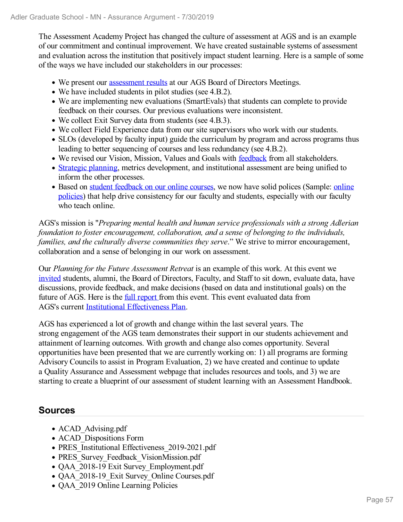The Assessment Academy Project has changed the culture of assessment at AGS and is an example of our commitment and continual improvement. We have created sustainable systems of assessment and evaluation across the institution that positively impact student learning. Here is a sample of some of the ways we have included our stakeholders in our processes:

- We present our assessment results at our AGS Board of Directors Meetings.
- We have included students in pilot studies (see 4.B.2).
- We are implementing new evaluations (SmartEvals) that students can complete to provide feedback on their courses. Our previous evaluations were inconsistent.
- We collect Exit Survey data from students (see 4.B.3).
- We collect Field Experience data from our site supervisors who work with our students.
- SLOs (developed by faculty input) guide the curriculum by program and across programs thus leading to better sequencing of courses and less redundancy (see 4.B.2).
- We revised our Vision, Mission, Values and Goals with feedback from all stakeholders.
- Strategic planning, metrics development, and institutional assessment are being unified to inform the other processes.
- Based on student feedback on our online courses, we now have solid polices (Sample: online policies) that help drive consistency for our faculty and students, especially with our faculty who teach online.

AGS's mission is "*Preparing mental health and human service professionals with a strong Adlerian foundation to foster encouragement, collaboration, and a sense of belonging to the individuals, families, and the culturally diverse communities they serve*." We strive to mirror encouragement, collaboration and a sense of belonging in our work on assessment.

Our *Planning for the Future Assessment Retreat* is an example of this work. At this event we invited students, alumni, the Board of Directors, Faculty, and Staff to sit down, evaluate data, have discussions, provide feedback, and make decisions (based on data and institutional goals) on the future of AGS. Here is the *full report* from this event. This event evaluated data from AGS's current Institutional Effectiveness Plan.

AGS has experienced a lot of growth and change within the last several years. The strong engagement of the AGS team demonstrates their support in our students achievement and attainment of learning outcomes. With growth and change also comes opportunity. Several opportunities have been presented that we are currently working on: 1) all programs are forming Advisory Councils to assist in Program Evaluation, 2) we have created and continue to update a Quality Assurance and Assessment webpage that includes resources and tools, and 3) we are starting to create a blueprint of our assessment of student learning with an Assessment Handbook.

### **Sources**

- ACAD Advising.pdf
- ACAD Dispositions Form
- PRES Institutional Effectiveness 2019-2021.pdf
- PRES Survey Feedback VisionMission.pdf
- QAA\_2018-19 Exit Survey\_Employment.pdf
- OAA 2018-19 Exit Survey Online Courses.pdf
- QAA 2019 Online Learning Policies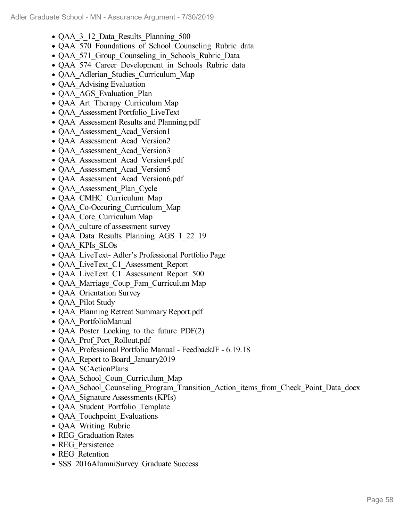- QAA 3 12 Data Results Planning 500
- QAA 570 Foundations of School Counseling Rubric data
- QAA 571 Group Counseling in Schools Rubric Data
- QAA 574 Career Development in Schools Rubric data
- QAA Adlerian Studies Curriculum Map
- QAA Advising Evaluation
- QAA AGS Evaluation Plan
- QAA Art Therapy Curriculum Map
- QAA\_Assessment Portfolio\_LiveText
- QAA Assessment Results and Planning.pdf
- QAA Assessment Acad Version1
- QAA Assessment Acad Version2
- QAA Assessment Acad Version3
- QAA\_Assessment\_Acad\_Version4.pdf
- QAA Assessment Acad Version5
- QAA\_Assessment\_Acad\_Version6.pdf
- QAA Assessment Plan Cycle
- QAA\_CMHC\_Curriculum\_Map
- QAA Co-Occuring Curriculum Map
- QAA Core Curriculum Map
- QAA culture of assessment survey
- QAA\_Data\_Results\_Planning\_AGS\_1\_22\_19
- QAA\_KPIs\_SLOs
- QAA\_LiveText- Adler's Professional Portfolio Page
- QAA LiveText C1 Assessment Report
- QAA LiveText C1 Assessment Report 500
- QAA Marriage Coup Fam Curriculum Map
- QAA Orientation Survey
- **QAA** Pilot Study
- QAA\_Planning Retreat Summary Report.pdf
- QAA\_PortfolioManual
- QAA Poster Looking to the future PDF(2)
- QAA\_Prof\_Port\_Rollout.pdf
- QAA\_Professional Portfolio Manual FeedbackJF 6.19.18
- OAA Report to Board January2019
- QAA SCActionPlans
- QAA School Coun Curriculum Map
- QAA\_School\_Counseling\_Program\_Transition\_Action\_items\_from\_Check\_Point\_Data\_docx
- QAA Signature Assessments (KPIs)
- QAA Student Portfolio Template
- QAA Touchpoint Evaluations
- QAA Writing\_Rubric
- REG Graduation Rates
- REG Persistence
- REG\_Retention
- SSS 2016AlumniSurvey Graduate Success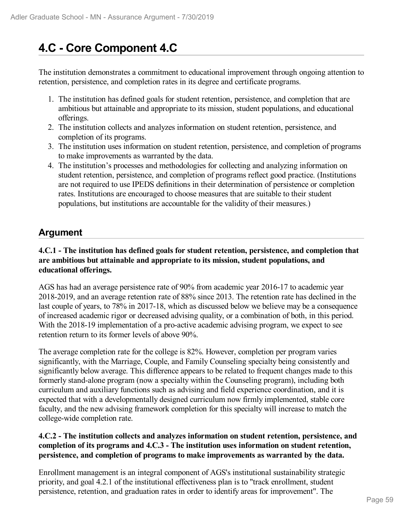# **4.C - Core Component 4.C**

The institution demonstrates a commitment to educational improvement through ongoing attention to retention, persistence, and completion rates in its degree and certificate programs.

- 1. The institution has defined goals for student retention, persistence, and completion that are ambitious but attainable and appropriate to its mission, student populations, and educational offerings.
- 2. The institution collects and analyzes information on student retention, persistence, and completion of its programs.
- 3. The institution uses information on student retention, persistence, and completion of programs to make improvements as warranted by the data.
- 4. The institution's processes and methodologies for collecting and analyzing information on student retention, persistence, and completion of programs reflect good practice. (Institutions are not required to use IPEDS definitions in their determination of persistence or completion rates. Institutions are encouraged to choose measures that are suitable to their student populations, but institutions are accountable for the validity of their measures.)

### **Argument**

### **4.C.1 - The institution has defined goals for student retention, persistence, and completion that are ambitious but attainable and appropriate to its mission, student populations, and educational offerings.**

AGS has had an average persistence rate of 90% from academic year 2016-17 to academic year 2018-2019, and an average retention rate of 88% since 2013. The retention rate has declined in the last couple of years, to 78% in 2017-18, which as discussed below we believe may be a consequence of increased academic rigor or decreased advising quality, or a combination of both, in this period. With the 2018-19 implementation of a pro-active academic advising program, we expect to see retention return to its former levels of above 90%.

The average completion rate for the college is 82%. However, completion per program varies significantly, with the Marriage, Couple, and Family Counseling specialty being consistently and significantly below average. This difference appears to be related to frequent changes made to this formerly stand-alone program (now a specialty within the Counseling program), including both curriculum and auxiliary functions such as advising and field experience coordination, and it is expected that with a developmentally designed curriculum now firmly implemented, stable core faculty, and the new advising framework completion for this specialty will increase to match the college-wide completion rate.

### **4.C.2 - The institution collects and analyzes information on student retention, persistence, and completion of its programs and 4.C.3 - The institution uses information on student retention, persistence, and completion of programs to make improvements as warranted by the data.**

Enrollment management is an integral component of AGS's institutional sustainability strategic priority, and goal 4.2.1 of the institutional effectiveness plan is to "track enrollment, student persistence, retention, and graduation rates in order to identify areas for improvement". The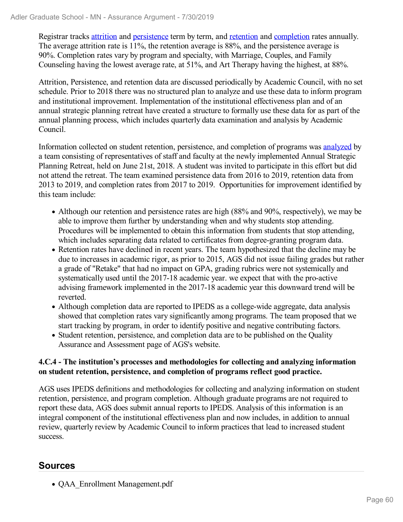Registrar tracks attrition and persistence term by term, and retention and completion rates annually. The average attrition rate is 11%, the retention average is 88%, and the persistence average is 90%. Completion rates vary by program and specialty, with Marriage, Couples, and Family Counseling having the lowest average rate, at 51%, and Art Therapy having the highest, at 88%.

Attrition, Persistence, and retention data are discussed periodically by Academic Council, with no set schedule. Prior to 2018 there was no structured plan to analyze and use these data to inform program and institutional improvement. Implementation of the institutional effectiveness plan and of an annual strategic planning retreat have created a structure to formally use these data for as part of the annual planning process, which includes quarterly data examination and analysis by Academic Council.

Information collected on student retention, persistence, and completion of programs was analyzed by a team consisting of representatives of staff and faculty at the newly implemented Annual Strategic Planning Retreat, held on June 21st, 2018. A student was invited to participate in this effort but did not attend the retreat. The team examined persistence data from 2016 to 2019, retention data from 2013 to 2019, and completion rates from 2017 to 2019. Opportunities for improvement identified by this team include:

- Although our retention and persistence rates are high (88% and 90%, respectively), we may be able to improve them further by understanding when and why students stop attending. Procedures will be implemented to obtain this information from students that stop attending, which includes separating data related to certificates from degree-granting program data.
- Retention rates have declined in recent years. The team hypothesized that the decline may be due to increases in academic rigor, as prior to 2015, AGS did not issue failing grades but rather a grade of "Retake" that had no impact on GPA, grading rubrics were not systemically and systematically used until the 2017-18 academic year. we expect that with the pro-active advising framework implemented in the 2017-18 academic year this downward trend will be reverted.
- Although completion data are reported to IPEDS as a college-wide aggregate, data analysis showed that completion rates vary significantly among programs. The team proposed that we start tracking by program, in order to identify positive and negative contributing factors.
- Student retention, persistence, and completion data are to be published on the Quality Assurance and Assessment page of AGS's website.

### **4.C.4 - The institution's processes and methodologies for collecting and analyzing information on student retention, persistence, and completion of programs reflect good practice.**

AGS uses IPEDS definitions and methodologies for collecting and analyzing information on student retention, persistence, and program completion. Although graduate programs are not required to report these data, AGS does submit annual reports to IPEDS. Analysis of this information is an integral component of the institutional effectiveness plan and now includes, in addition to annual review, quarterly review by Academic Council to inform practices that lead to increased student success.

### **Sources**

QAA\_Enrollment Management.pdf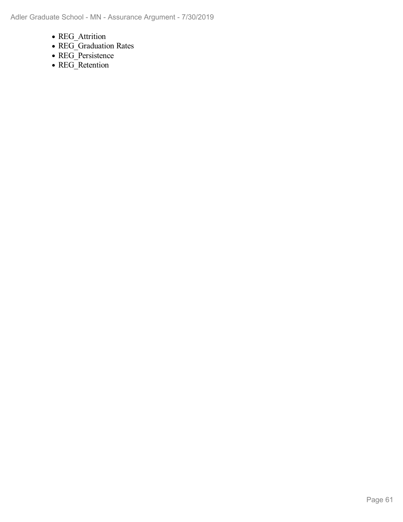- REG\_Attrition
- REG\_Graduation Rates
- REG\_Persistence
- REG\_Retention